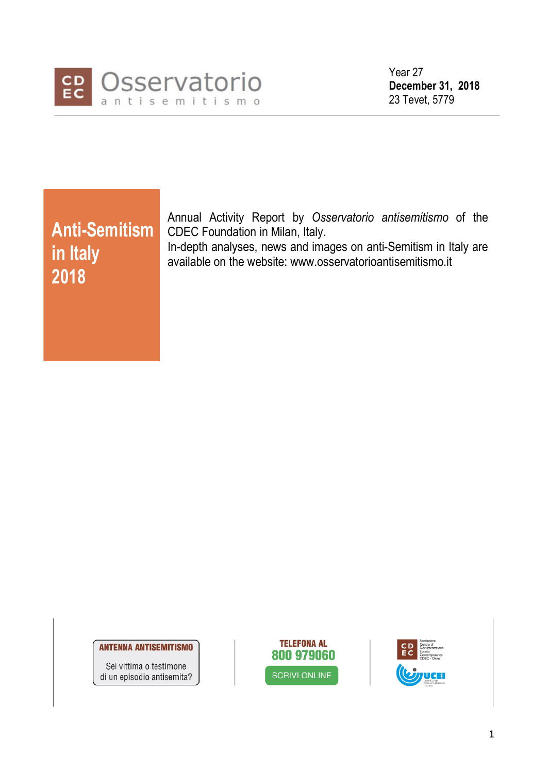

Year 27 December 31, 2018 23 Tevet, 5779

in Italy 2018

Anti-Semitism CDEC Foundation in Milan, Italy. Annual Activity Report by Osservatorio antisemitismo of the

In-depth analyses, news and images on anti-Semitism in Italy are available on the website: www.osservatorioantisemitismo.it

**ANTENNA ANTISEMITISMO** 

Sei vittima o testimone di un episodio antisemita?



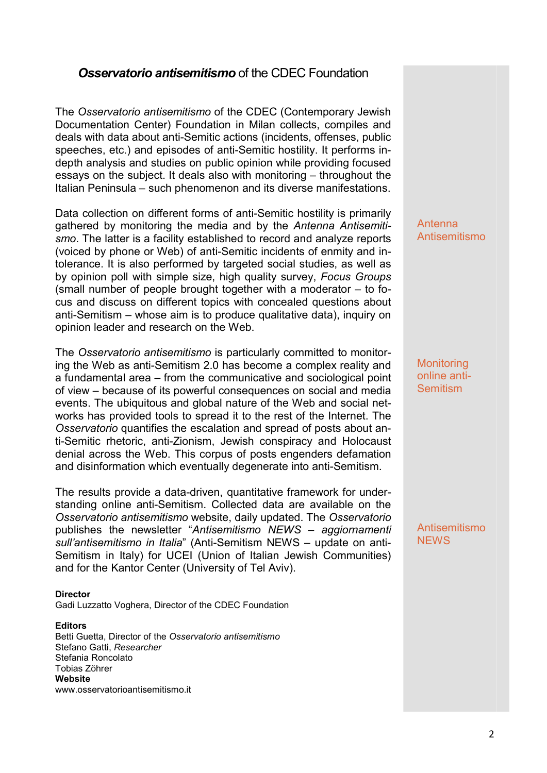## **Osservatorio antisemitismo** of the CDEC Foundation

The Osservatorio antisemitismo of the CDEC (Contemporary Jewish Documentation Center) Foundation in Milan collects, compiles and deals with data about anti-Semitic actions (incidents, offenses, public speeches, etc.) and episodes of anti-Semitic hostility. It performs indepth analysis and studies on public opinion while providing focused essays on the subject. It deals also with monitoring – throughout the Italian Peninsula – such phenomenon and its diverse manifestations.

Data collection on different forms of anti-Semitic hostility is primarily gathered by monitoring the media and by the Antenna Antisemitismo. The latter is a facility established to record and analyze reports (voiced by phone or Web) of anti-Semitic incidents of enmity and intolerance. It is also performed by targeted social studies, as well as by opinion poll with simple size, high quality survey, Focus Groups (small number of people brought together with a moderator – to focus and discuss on different topics with concealed questions about anti-Semitism – whose aim is to produce qualitative data), inquiry on opinion leader and research on the Web.

The Osservatorio antisemitismo is particularly committed to monitoring the Web as anti-Semitism 2.0 has become a complex reality and a fundamental area – from the communicative and sociological point of view – because of its powerful consequences on social and media events. The ubiquitous and global nature of the Web and social networks has provided tools to spread it to the rest of the Internet. The Osservatorio quantifies the escalation and spread of posts about anti-Semitic rhetoric, anti-Zionism, Jewish conspiracy and Holocaust denial across the Web. This corpus of posts engenders defamation and disinformation which eventually degenerate into anti-Semitism.

The results provide a data-driven, quantitative framework for understanding online anti-Semitism. Collected data are available on the Osservatorio antisemitismo website, daily updated. The Osservatorio publishes the newsletter "Antisemitismo NEWS – aggiornamenti sull'antisemitismo in Italia" (Anti-Semitism NEWS – update on anti-Semitism in Italy) for UCEI (Union of Italian Jewish Communities) and for the Kantor Center (University of Tel Aviv).

### Director

Gadi Luzzatto Voghera, Director of the CDEC Foundation

#### **Editors**

Betti Guetta, Director of the Osservatorio antisemitismo Stefano Gatti, Researcher Stefania Roncolato Tobias Zöhrer **Website** www.osservatorioantisemitismo.it

Antenna Antisemitismo

**Monitoring** online anti-**Semitism** 

Antisemitismo NEWS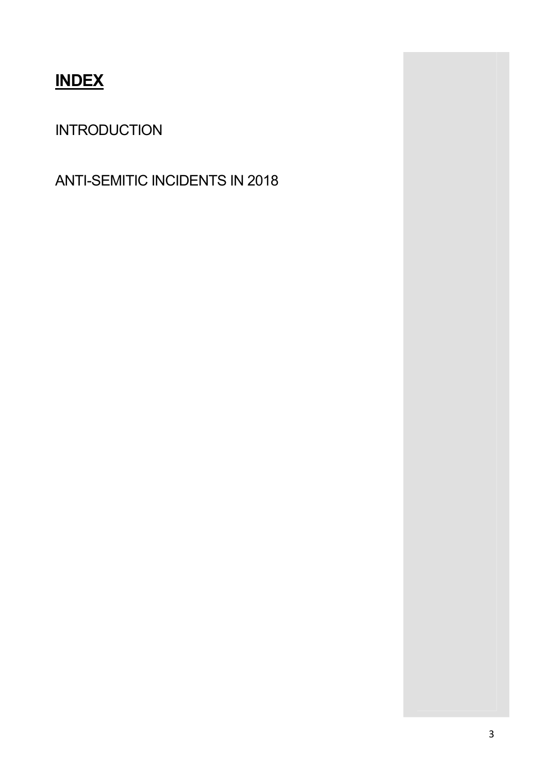# **INDEX**

# INTRODUCTION

ANTI-SEMITIC INCIDENTS IN 2018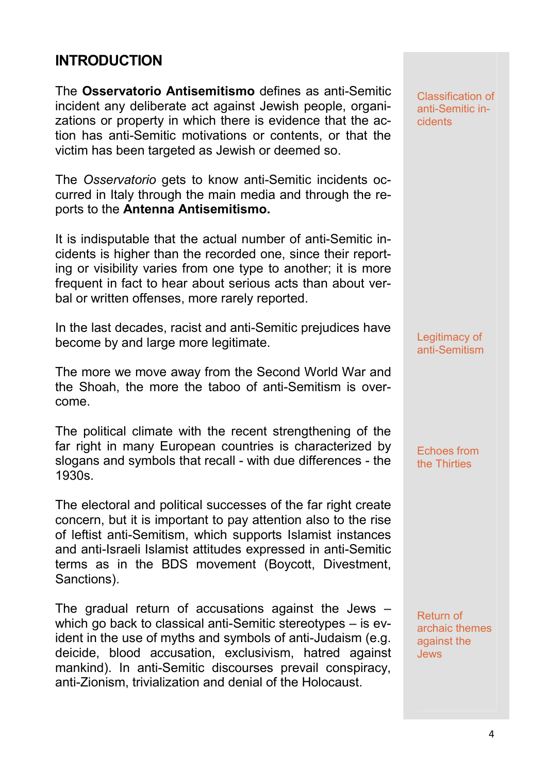## INTRODUCTION

The Osservatorio Antisemitismo defines as anti-Semitic incident any deliberate act against Jewish people, organizations or property in which there is evidence that the action has anti-Semitic motivations or contents, or that the victim has been targeted as Jewish or deemed so.

The Osservatorio gets to know anti-Semitic incidents occurred in Italy through the main media and through the reports to the Antenna Antisemitismo.

It is indisputable that the actual number of anti-Semitic incidents is higher than the recorded one, since their reporting or visibility varies from one type to another; it is more frequent in fact to hear about serious acts than about verbal or written offenses, more rarely reported.

In the last decades, racist and anti-Semitic prejudices have become by and large more legitimate.

The more we move away from the Second World War and the Shoah, the more the taboo of anti-Semitism is overcome.

The political climate with the recent strengthening of the far right in many European countries is characterized by slogans and symbols that recall - with due differences - the 1930s.

The electoral and political successes of the far right create concern, but it is important to pay attention also to the rise of leftist anti-Semitism, which supports Islamist instances and anti-Israeli Islamist attitudes expressed in anti-Semitic terms as in the BDS movement (Boycott, Divestment, Sanctions).

The gradual return of accusations against the Jews – which go back to classical anti-Semitic stereotypes – is evident in the use of myths and symbols of anti-Judaism (e.g. deicide, blood accusation, exclusivism, hatred against mankind). In anti-Semitic discourses prevail conspiracy, anti-Zionism, trivialization and denial of the Holocaust.

Classification of anti-Semitic incidents

Legitimacy of anti-Semitism

Echoes from the Thirties

Return of archaic themes against the Jews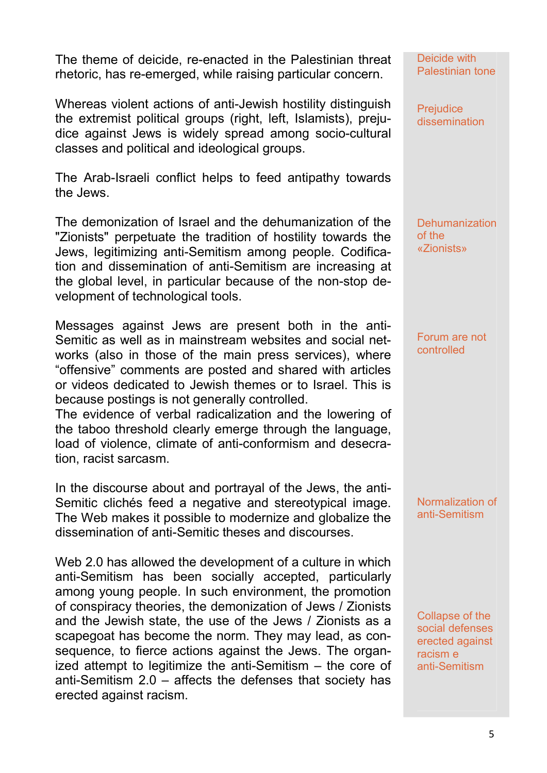The theme of deicide, re-enacted in the Palestinian threat rhetoric, has re-emerged, while raising particular concern.

Whereas violent actions of anti-Jewish hostility distinguish the extremist political groups (right, left, Islamists), prejudice against Jews is widely spread among socio-cultural classes and political and ideological groups.

The Arab-Israeli conflict helps to feed antipathy towards the Jews.

The demonization of Israel and the dehumanization of the "Zionists" perpetuate the tradition of hostility towards the Jews, legitimizing anti-Semitism among people. Codification and dissemination of anti-Semitism are increasing at the global level, in particular because of the non-stop development of technological tools.

Messages against Jews are present both in the anti-Semitic as well as in mainstream websites and social networks (also in those of the main press services), where "offensive" comments are posted and shared with articles or videos dedicated to Jewish themes or to Israel. This is because postings is not generally controlled.

The evidence of verbal radicalization and the lowering of the taboo threshold clearly emerge through the language, load of violence, climate of anti-conformism and desecration, racist sarcasm.

In the discourse about and portrayal of the Jews, the anti-Semitic clichés feed a negative and stereotypical image. The Web makes it possible to modernize and globalize the dissemination of anti-Semitic theses and discourses.

Web 2.0 has allowed the development of a culture in which anti-Semitism has been socially accepted, particularly among young people. In such environment, the promotion of conspiracy theories, the demonization of Jews / Zionists and the Jewish state, the use of the Jews / Zionists as a scapegoat has become the norm. They may lead, as consequence, to fierce actions against the Jews. The organized attempt to legitimize the anti-Semitism – the core of anti-Semitism 2.0 – affects the defenses that society has erected against racism.

Deicide with Palestinian tone

**Prejudice** dissemination

**Dehumanization** of the «Zionists»

Forum are not controlled

Normalization of anti-Semitism

Collapse of the social defenses erected against racism e anti-Semitism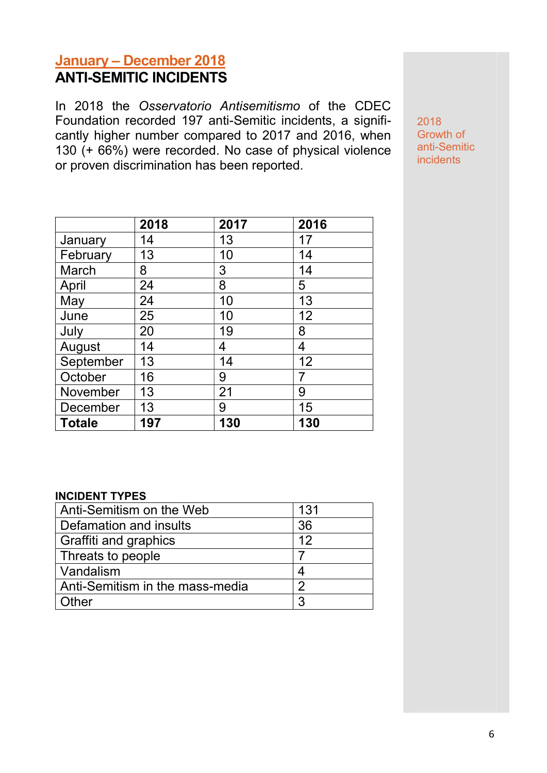# January – December 2018 ANTI-SEMITIC INCIDENTS

In 2018 the Osservatorio Antisemitismo of the CDEC Foundation recorded 197 anti-Semitic incidents, a significantly higher number compared to 2017 and 2016, when 130 (+ 66%) were recorded. No case of physical violence or proven discrimination has been reported.

|               | 2018 | 2017 | 2016 |
|---------------|------|------|------|
| January       | 14   | 13   | 17   |
| February      | 13   | 10   | 14   |
| March         | 8    | 3    | 14   |
| April         | 24   | 8    | 5    |
| May           | 24   | 10   | 13   |
| June          | 25   | 10   | 12   |
| July          | 20   | 19   | 8    |
| August        | 14   | 4    | 4    |
| September     | 13   | 14   | 12   |
| October       | 16   | 9    |      |
| November      | 13   | 21   | 9    |
| December      | 13   | 9    | 15   |
| <b>Totale</b> | 197  | 130  | 130  |

### INCIDENT TYPES

| Anti-Semitism on the Web        | 131 |
|---------------------------------|-----|
| Defamation and insults          | 36  |
| Graffiti and graphics           | 12  |
| Threats to people               |     |
| Vandalism                       |     |
| Anti-Semitism in the mass-media | 2   |
| ther                            | 3   |

2018 Growth of anti-Semitic incidents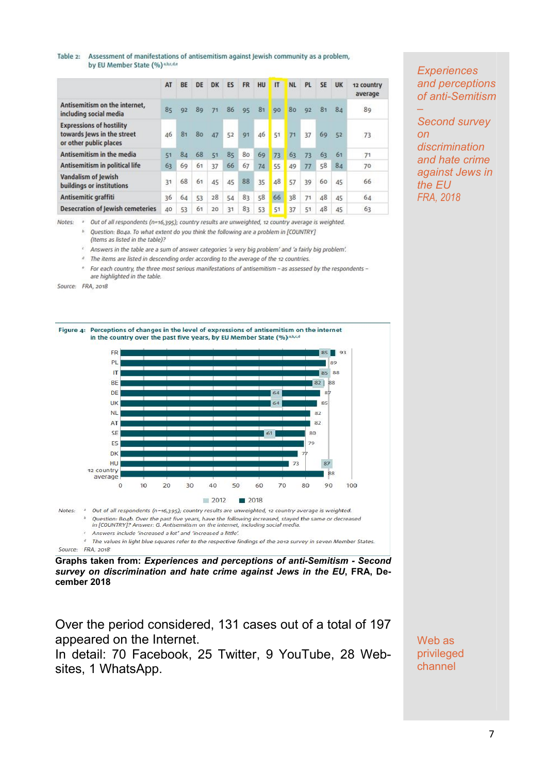#### Table 2: Assessment of manifestations of antisemitism against Jewish community as a problem, by EU Member State (%) a,b,c,d,e

|                                                                                         | AT | <b>BE</b> | DE | <b>DK</b> | ES | <b>FR</b> | HU | IT | <b>NL</b> | <b>PL</b> | <b>SE</b> | <b>UK</b> | 12 country<br>average |
|-----------------------------------------------------------------------------------------|----|-----------|----|-----------|----|-----------|----|----|-----------|-----------|-----------|-----------|-----------------------|
| Antisemitism on the internet,<br>including social media                                 | 85 | 92        | 89 | 71        | 86 | 95        | 81 | 90 | 80        | 92        | 81        | 84        | 89                    |
| <b>Expressions of hostility</b><br>towards Jews in the street<br>or other public places | 46 | 81        | 80 | 47        | 52 | 91        | 46 | 51 |           | 37        | 69        | 52        | 73                    |
| Antisemitism in the media                                                               | 51 | 84        | 68 | 51        | 85 | 80        | 69 | 73 | 63        | 73        | 63        | 61        | 71                    |
| Antisemitism in political life                                                          | 63 | 69        | 61 | 37        | 66 | 67        | 74 | 55 | 49        | 77        | 58        | 84        | 70                    |
| Vandalism of Jewish<br>buildings or institutions                                        | 31 | 68        | 61 | 45        | 45 | 88        | 35 | 48 | 57        | 39        | 60        | 45<br>n e | 66                    |
| Antisemitic graffiti                                                                    | 36 | 64        | 53 | 28        | 54 | 83        | 58 | 66 | 38        | 71        | 48        | 45        | 64                    |
| <b>Desecration of Jewish cemeteries</b>                                                 | 40 | 53        | 61 | 20        | 31 | 83        | 53 | 51 | 37        | 51        | 48        | 45        | 63                    |

**Experiences** and perceptions of anti-Semitism

–

Second survey on discrimination and hate crime against Jews in the EU FRA, 2018

Notes: <sup>a</sup> Out of all respondents (n=16,395); country results are unweighted, 12 country average is weighted.

Question: Bo4a. To what extent do you think the following are a problem in [COUNTRY] (Items as listed in the table)?

<sup>e</sup> Answers in the table are a sum of answer categories 'a very big problem' and 'a fairly big problem'.

<sup>d</sup> The items are listed in descending order according to the average of the 12 countries.

For each country, the three most serious manifestations of antisemitism - as assessed by the respondents are highlighted in the table.

Source: FRA, 2018



Graphs taken from: Experiences and perceptions of anti-Semitism - Second survey on discrimination and hate crime against Jews in the EU, FRA, December 2018

Over the period considered, 131 cases out of a total of 197 appeared on the Internet.

In detail: 70 Facebook, 25 Twitter, 9 YouTube, 28 Websites, 1 WhatsApp.

Web as privileged channel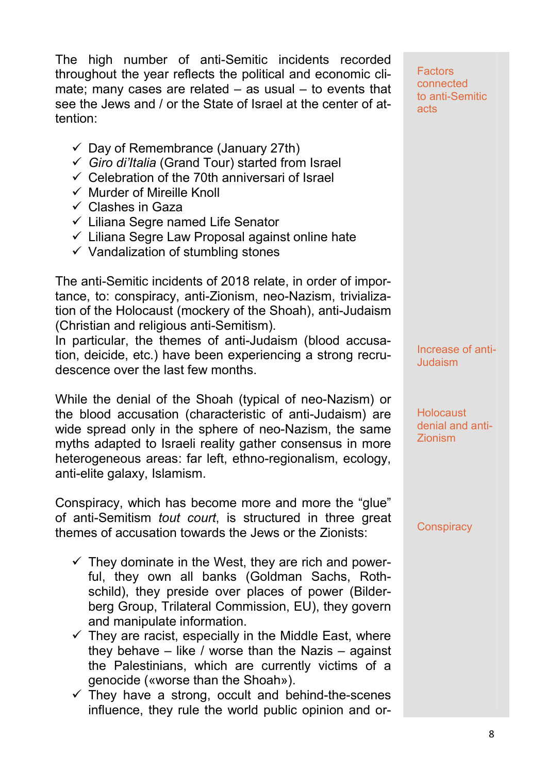The high number of anti-Semitic incidents recorded throughout the year reflects the political and economic climate; many cases are related – as usual – to events that see the Jews and / or the State of Israel at the center of attention:

- $\checkmark$  Day of Remembrance (January 27th)
- $\checkmark$  Giro di'Italia (Grand Tour) started from Israel
- $\checkmark$  Celebration of the 70th anniversari of Israel
- $\checkmark$  Murder of Mireille Knoll
- $\checkmark$  Clashes in Gaza
- $\checkmark$  Liliana Segre named Life Senator
- $\checkmark$  Liliana Segre Law Proposal against online hate
- $\checkmark$  Vandalization of stumbling stones

The anti-Semitic incidents of 2018 relate, in order of importance, to: conspiracy, anti-Zionism, neo-Nazism, trivialization of the Holocaust (mockery of the Shoah), anti-Judaism (Christian and religious anti-Semitism).

In particular, the themes of anti-Judaism (blood accusation, deicide, etc.) have been experiencing a strong recrudescence over the last few months.

While the denial of the Shoah (typical of neo-Nazism) or the blood accusation (characteristic of anti-Judaism) are wide spread only in the sphere of neo-Nazism, the same myths adapted to Israeli reality gather consensus in more heterogeneous areas: far left, ethno-regionalism, ecology, anti-elite galaxy, Islamism.

Conspiracy, which has become more and more the "glue" of anti-Semitism tout court, is structured in three great themes of accusation towards the Jews or the Zionists:

- $\checkmark$  They dominate in the West, they are rich and powerful, they own all banks (Goldman Sachs, Rothschild), they preside over places of power (Bilderberg Group, Trilateral Commission, EU), they govern and manipulate information.
- $\checkmark$  They are racist, especially in the Middle East, where they behave  $-$  like / worse than the Nazis  $-$  against the Palestinians, which are currently victims of a genocide («worse than the Shoah»).
- $\checkmark$  They have a strong, occult and behind-the-scenes influence, they rule the world public opinion and or-

**Factors** connected to anti-Semitic acts

Increase of anti-**Judaism** 

**Holocaust** denial and anti-Zionism

**Conspiracy**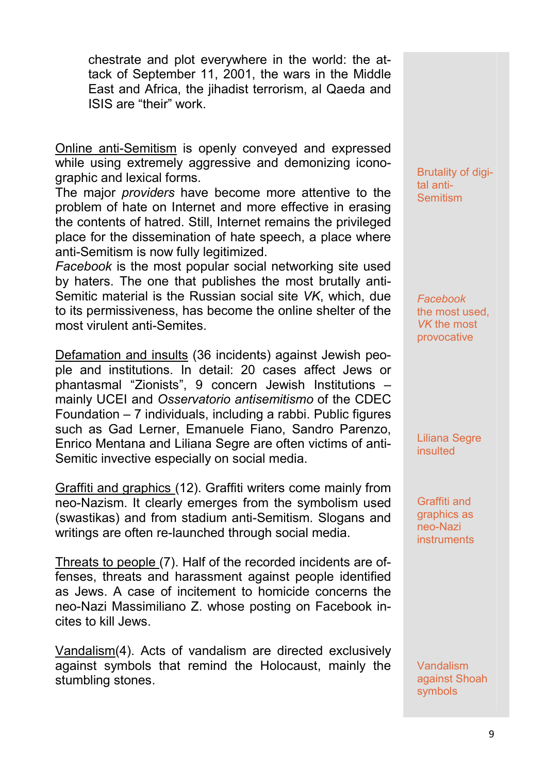chestrate and plot everywhere in the world: the attack of September 11, 2001, the wars in the Middle East and Africa, the jihadist terrorism, al Qaeda and ISIS are "their" work.

Online anti-Semitism is openly conveyed and expressed while using extremely aggressive and demonizing iconographic and lexical forms.

The major *providers* have become more attentive to the problem of hate on Internet and more effective in erasing the contents of hatred. Still, Internet remains the privileged place for the dissemination of hate speech, a place where anti-Semitism is now fully legitimized.

Facebook is the most popular social networking site used by haters. The one that publishes the most brutally anti-Semitic material is the Russian social site VK, which, due to its permissiveness, has become the online shelter of the most virulent anti-Semites.

Defamation and insults (36 incidents) against Jewish people and institutions. In detail: 20 cases affect Jews or phantasmal "Zionists", 9 concern Jewish Institutions – mainly UCEI and Osservatorio antisemitismo of the CDEC Foundation – 7 individuals, including a rabbi. Public figures such as Gad Lerner, Emanuele Fiano, Sandro Parenzo, Enrico Mentana and Liliana Segre are often victims of anti-Semitic invective especially on social media.

Graffiti and graphics (12). Graffiti writers come mainly from neo-Nazism. It clearly emerges from the symbolism used (swastikas) and from stadium anti-Semitism. Slogans and writings are often re-launched through social media.

Threats to people (7). Half of the recorded incidents are offenses, threats and harassment against people identified as Jews. A case of incitement to homicide concerns the neo-Nazi Massimiliano Z. whose posting on Facebook incites to kill Jews.

Vandalism(4). Acts of vandalism are directed exclusively against symbols that remind the Holocaust, mainly the stumbling stones.

Brutality of digital anti-**Semitism** 

Facebook the most used, VK the most provocative

Liliana Segre insulted

Graffiti and graphics as neo-Nazi instruments

Vandalism against Shoah symbols